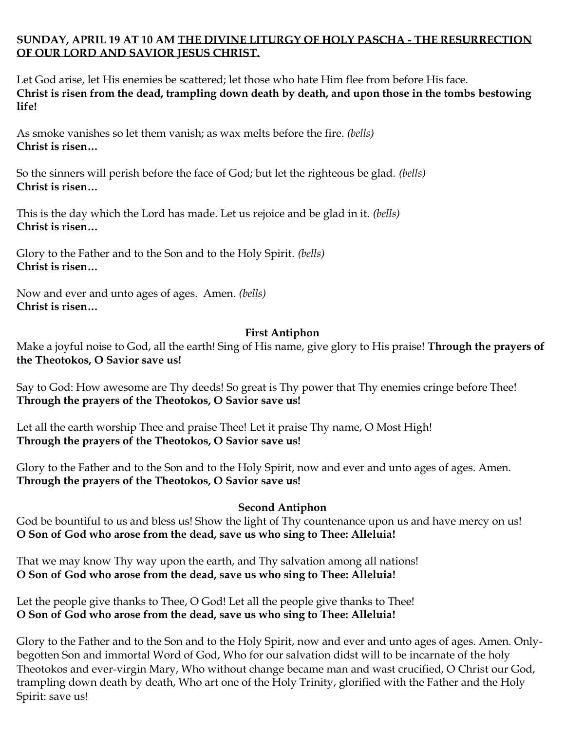## **SUNDAY, APRIL 19 AT 10 AM THE DIVINE LITURGY OF HOLY PASCHA - THE RESURRECTION OF OUR LORD AND SAVIOR JESUS CHRIST.**

Let God arise, let His enemies be scattered; let those who hate Him flee from before His face. **Christ is risen from the dead, trampling down death by death, and upon those in the tombs bestowing life!**

As smoke vanishes so let them vanish; as wax melts before the fire. *(bells)* **Christ is risen…**

So the sinners will perish before the face of God; but let the righteous be glad. *(bells)* **Christ is risen…**

This is the day which the Lord has made. Let us rejoice and be glad in it. *(bells)* **Christ is risen…**

Glory to the Father and to the Son and to the Holy Spirit. *(bells)* **Christ is risen…**

Now and ever and unto ages of ages. Amen. *(bells)* **Christ is risen…**

## **First Antiphon**

Make a joyful noise to God, all the earth! Sing of His name, give glory to His praise! **Through the prayers of the Theotokos, O Savior save us!** 

Say to God: How awesome are Thy deeds! So great is Thy power that Thy enemies cringe before Thee! **Through the prayers of the Theotokos, O Savior save us!**

Let all the earth worship Thee and praise Thee! Let it praise Thy name, O Most High! **Through the prayers of the Theotokos, O Savior save us!**

Glory to the Father and to the Son and to the Holy Spirit, now and ever and unto ages of ages. Amen. **Through the prayers of the Theotokos, O Savior save us!** 

## **Second Antiphon**

God be bountiful to us and bless us! Show the light of Thy countenance upon us and have mercy on us! **O Son of God who arose from the dead, save us who sing to Thee: Alleluia!** 

That we may know Thy way upon the earth, and Thy salvation among all nations! **O Son of God who arose from the dead, save us who sing to Thee: Alleluia!** 

Let the people give thanks to Thee, O God! Let all the people give thanks to Thee! **O Son of God who arose from the dead, save us who sing to Thee: Alleluia!** 

Glory to the Father and to the Son and to the Holy Spirit, now and ever and unto ages of ages. Amen. Onlybegotten Son and immortal Word of God, Who for our salvation didst will to be incarnate of the holy Theotokos and ever-virgin Mary, Who without change became man and wast crucified, O Christ our God, trampling down death by death, Who art one of the Holy Trinity, glorified with the Father and the Holy Spirit: save us!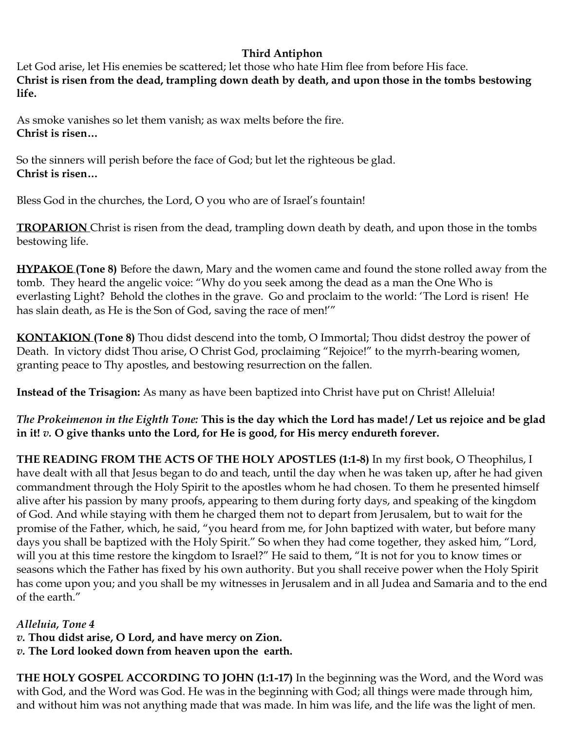## **Third Antiphon**

Let God arise, let His enemies be scattered; let those who hate Him flee from before His face. **Christ is risen from the dead, trampling down death by death, and upon those in the tombs bestowing life.** 

As smoke vanishes so let them vanish; as wax melts before the fire. **Christ is risen…**

So the sinners will perish before the face of God; but let the righteous be glad. **Christ is risen…**

Bless God in the churches, the Lord, O you who are of Israel's fountain!

**TROPARION** Christ is risen from the dead, trampling down death by death, and upon those in the tombs bestowing life.

**HYPAKOE (Tone 8)** Before the dawn, Mary and the women came and found the stone rolled away from the tomb. They heard the angelic voice: "Why do you seek among the dead as a man the One Who is everlasting Light? Behold the clothes in the grave. Go and proclaim to the world: 'The Lord is risen! He has slain death, as He is the Son of God, saving the race of men!'"

**KONTAKION (Tone 8)** Thou didst descend into the tomb, O Immortal; Thou didst destroy the power of Death. In victory didst Thou arise, O Christ God, proclaiming "Rejoice!" to the myrrh-bearing women, granting peace to Thy apostles, and bestowing resurrection on the fallen.

**Instead of the Trisagion:** As many as have been baptized into Christ have put on Christ! Alleluia!

*The Prokeimenon in the Eighth Tone:* **This is the day which the Lord has made! / Let us rejoice and be glad in it!** *v.* **O give thanks unto the Lord, for He is good, for His mercy endureth forever.**

**THE READING FROM THE ACTS OF THE HOLY APOSTLES (1:1-8)** In my first book, O Theophilus, I have dealt with all that Jesus began to do and teach, until the day when he was taken up, after he had given commandment through the Holy Spirit to the apostles whom he had chosen. To them he presented himself alive after his passion by many proofs, appearing to them during forty days, and speaking of the kingdom of God. And while staying with them he charged them not to depart from Jerusalem, but to wait for the promise of the Father, which, he said, "you heard from me, for John baptized with water, but before many days you shall be baptized with the Holy Spirit." So when they had come together, they asked him, "Lord, will you at this time restore the kingdom to Israel?" He said to them, "It is not for you to know times or seasons which the Father has fixed by his own authority. But you shall receive power when the Holy Spirit has come upon you; and you shall be my witnesses in Jerusalem and in all Judea and Samaria and to the end of the earth."

*Alleluia, Tone 4*

*v.* **Thou didst arise, O Lord, and have mercy on Zion.**

*v.* **The Lord looked down from heaven upon the earth.**

**THE HOLY GOSPEL ACCORDING TO JOHN (1:1-17)** In the beginning was the Word, and the Word was with God, and the Word was God. He was in the beginning with God; all things were made through him, and without him was not anything made that was made. In him was life, and the life was the light of men.